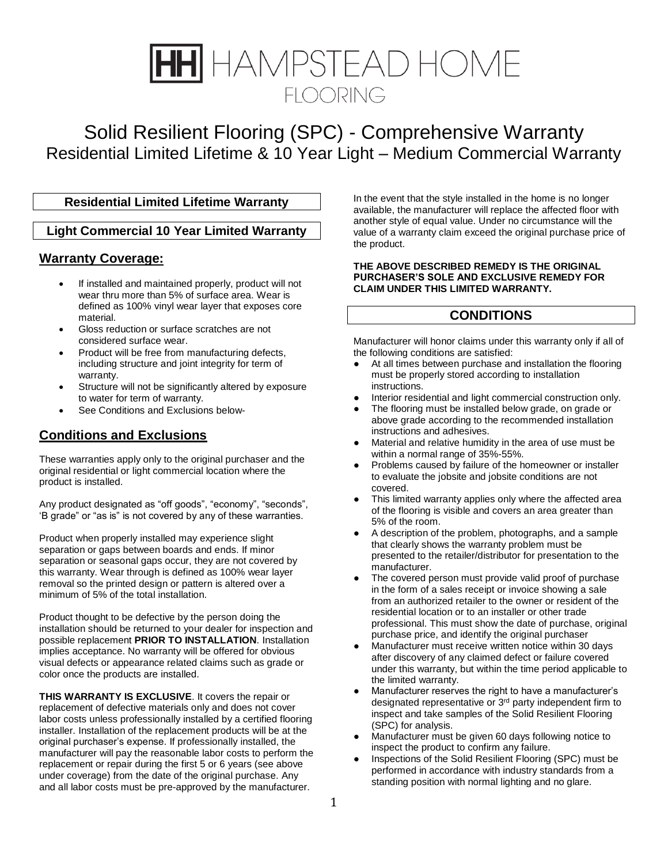# HAMPSTEAD HOME **FLOORING**

## Solid Resilient Flooring (SPC) - Comprehensive Warranty Residential Limited Lifetime & 10 Year Light – Medium Commercial Warranty

## **Residential Limited Lifetime Warranty**

## **Light Commercial 10 Year Limited Warranty**

## **Warranty Coverage:**

- If installed and maintained properly, product will not wear thru more than 5% of surface area. Wear is defined as 100% vinyl wear layer that exposes core material.
- Gloss reduction or surface scratches are not considered surface wear.
- Product will be free from manufacturing defects, including structure and joint integrity for term of warranty.
- Structure will not be significantly altered by exposure to water for term of warranty.
- See Conditions and Exclusions below-

## **Conditions and Exclusions**

These warranties apply only to the original purchaser and the original residential or light commercial location where the product is installed.

Any product designated as "off goods", "economy", "seconds", 'B grade" or "as is" is not covered by any of these warranties.

Product when properly installed may experience slight separation or gaps between boards and ends. If minor separation or seasonal gaps occur, they are not covered by this warranty. Wear through is defined as 100% wear layer removal so the printed design or pattern is altered over a minimum of 5% of the total installation.

Product thought to be defective by the person doing the installation should be returned to your dealer for inspection and possible replacement **PRIOR TO INSTALLATION**. Installation implies acceptance. No warranty will be offered for obvious visual defects or appearance related claims such as grade or color once the products are installed.

**THIS WARRANTY IS EXCLUSIVE**. It covers the repair or replacement of defective materials only and does not cover labor costs unless professionally installed by a certified flooring installer. Installation of the replacement products will be at the original purchaser's expense. If professionally installed, the manufacturer will pay the reasonable labor costs to perform the replacement or repair during the first 5 or 6 years (see above under coverage) from the date of the original purchase. Any and all labor costs must be pre-approved by the manufacturer.

In the event that the style installed in the home is no longer available, the manufacturer will replace the affected floor with another style of equal value. Under no circumstance will the value of a warranty claim exceed the original purchase price of the product.

#### **THE ABOVE DESCRIBED REMEDY IS THE ORIGINAL PURCHASER'S SOLE AND EXCLUSIVE REMEDY FOR CLAIM UNDER THIS LIMITED WARRANTY.**

### **CONDITIONS**

Manufacturer will honor claims under this warranty only if all of the following conditions are satisfied:

- At all times between purchase and installation the flooring must be properly stored according to installation instructions.
- Interior residential and light commercial construction only.
- The flooring must be installed below grade, on grade or above grade according to the recommended installation instructions and adhesives.
- Material and relative humidity in the area of use must be within a normal range of 35%-55%.
- Problems caused by failure of the homeowner or installer to evaluate the jobsite and jobsite conditions are not covered.
- This limited warranty applies only where the affected area of the flooring is visible and covers an area greater than 5% of the room.
- A description of the problem, photographs, and a sample that clearly shows the warranty problem must be presented to the retailer/distributor for presentation to the manufacturer.
- The covered person must provide valid proof of purchase in the form of a sales receipt or invoice showing a sale from an authorized retailer to the owner or resident of the residential location or to an installer or other trade professional. This must show the date of purchase, original purchase price, and identify the original purchaser
- Manufacturer must receive written notice within 30 days after discovery of any claimed defect or failure covered under this warranty, but within the time period applicable to the limited warranty.
- Manufacturer reserves the right to have a manufacturer's designated representative or 3<sup>rd</sup> party independent firm to inspect and take samples of the Solid Resilient Flooring (SPC) for analysis.
- Manufacturer must be given 60 days following notice to inspect the product to confirm any failure.
- Inspections of the Solid Resilient Flooring (SPC) must be performed in accordance with industry standards from a standing position with normal lighting and no glare.